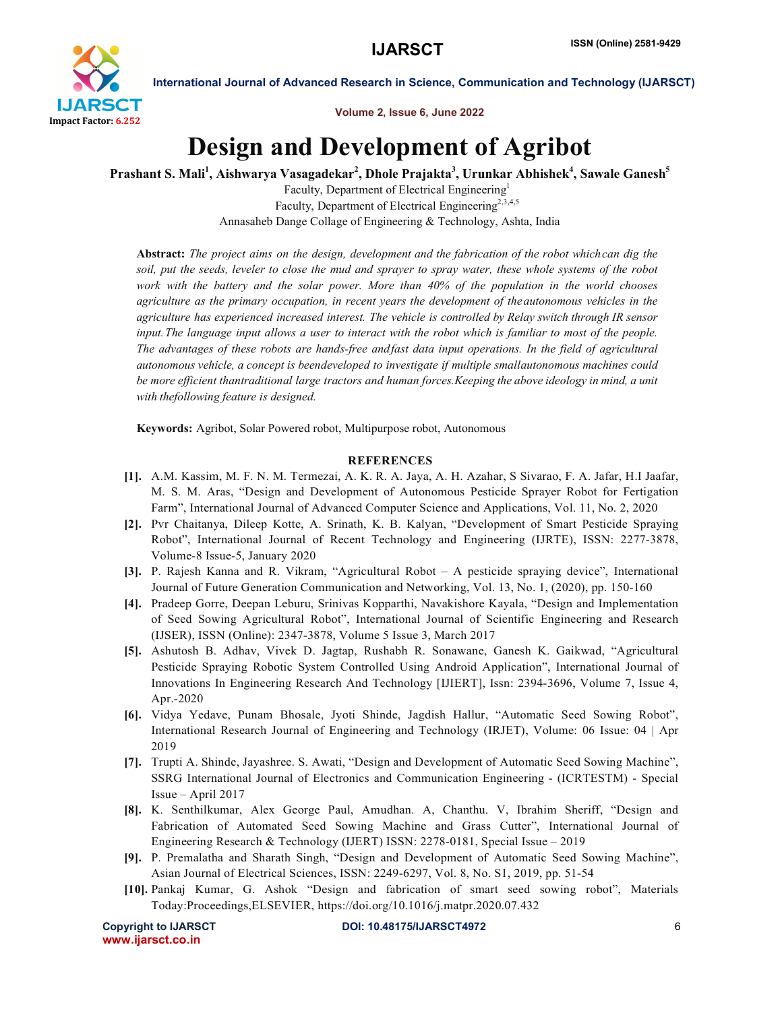

International Journal of Advanced Research in Science, Communication and Technology (IJARSCT)

Volume 2, Issue 6, June 2022

## Design and Development of Agribot

Prashant S. Mali<sup>1</sup>, Aishwarya Vasagadekar<sup>2</sup>, Dhole Prajakta<sup>3</sup>, Urunkar Abhishek<sup>4</sup>, Sawale Ganesh<sup>5</sup>

Faculty, Department of Electrical Engineering1 Faculty, Department of Electrical Engineering<sup>2,3,4,5</sup> Annasaheb Dange Collage of Engineering & Technology, Ashta, India

Abstract: *The project aims on the design, development and the fabrication of the robot whichcan dig the soil, put the seeds, leveler to close the mud and sprayer to spray water, these whole systems of the robot work with the battery and the solar power. More than 40% of the population in the world chooses agriculture as the primary occupation, in recent years the development of theautonomous vehicles in the agriculture has experienced increased interest. The vehicle is controlled by Relay switch through IR sensor input.The language input allows a user to interact with the robot which is familiar to most of the people. The advantages of these robots are hands-free andfast data input operations. In the field of agricultural autonomous vehicle, a concept is beendeveloped to investigate if multiple smallautonomous machines could be more efficient thantraditional large tractors and human forces.Keeping the above ideology in mind, a unit with thefollowing feature is designed.*

Keywords: Agribot, Solar Powered robot, Multipurpose robot, Autonomous

## **REFERENCES**

- [1]. A.M. Kassim, M. F. N. M. Termezai, A. K. R. A. Jaya, A. H. Azahar, S Sivarao, F. A. Jafar, H.I Jaafar, M. S. M. Aras, "Design and Development of Autonomous Pesticide Sprayer Robot for Fertigation Farm", International Journal of Advanced Computer Science and Applications, Vol. 11, No. 2, 2020
- [2]. Pvr Chaitanya, Dileep Kotte, A. Srinath, K. B. Kalyan, "Development of Smart Pesticide Spraying Robot", International Journal of Recent Technology and Engineering (IJRTE), ISSN: 2277-3878, Volume-8 Issue-5, January 2020
- [3]. P. Rajesh Kanna and R. Vikram, "Agricultural Robot A pesticide spraying device", International Journal of Future Generation Communication and Networking, Vol. 13, No. 1, (2020), pp. 150-160
- [4]. Pradeep Gorre, Deepan Leburu, Srinivas Kopparthi, Navakishore Kayala, "Design and Implementation of Seed Sowing Agricultural Robot", International Journal of Scientific Engineering and Research (IJSER), ISSN (Online): 2347-3878, Volume 5 Issue 3, March 2017
- [5]. Ashutosh B. Adhav, Vivek D. Jagtap, Rushabh R. Sonawane, Ganesh K. Gaikwad, "Agricultural Pesticide Spraying Robotic System Controlled Using Android Application", International Journal of Innovations In Engineering Research And Technology [IJIERT], Issn: 2394-3696, Volume 7, Issue 4, Apr.-2020
- [6]. Vidya Yedave, Punam Bhosale, Jyoti Shinde, Jagdish Hallur, "Automatic Seed Sowing Robot", International Research Journal of Engineering and Technology (IRJET), Volume: 06 Issue: 04 | Apr 2019
- [7]. Trupti A. Shinde, Jayashree. S. Awati, "Design and Development of Automatic Seed Sowing Machine", SSRG International Journal of Electronics and Communication Engineering - (ICRTESTM) - Special Issue – April 2017
- [8]. K. Senthilkumar, Alex George Paul, Amudhan. A, Chanthu. V, Ibrahim Sheriff, "Design and Fabrication of Automated Seed Sowing Machine and Grass Cutter", International Journal of Engineering Research & Technology (IJERT) ISSN: 2278-0181, Special Issue – 2019
- [9]. P. Premalatha and Sharath Singh, "Design and Development of Automatic Seed Sowing Machine", Asian Journal of Electrical Sciences, ISSN: 2249-6297, Vol. 8, No. S1, 2019, pp. 51-54
- [10]. Pankaj Kumar, G. Ashok "Design and fabrication of smart seed sowing robot", Materials Today:Proceedings,ELSEVIER, https://doi.org/10.1016/j.matpr.2020.07.432

www.ijarsct.co.in